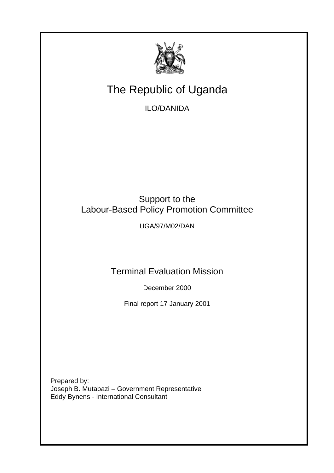

# The Republic of Uganda

ILO/DANIDA

# Support to the Labour-Based Policy Promotion Committee

UGA/97/M02/DAN

Terminal Evaluation Mission

December 2000

Final report 17 January 2001

Prepared by: Joseph B. Mutabazi – Government Representative Eddy Bynens - International Consultant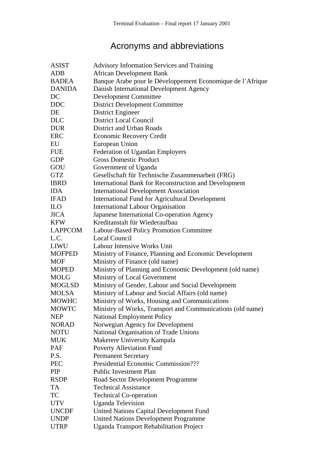# Acronyms and abbreviations

| <b>ASIST</b>   | <b>Advisory Information Services and Training</b>            |
|----------------|--------------------------------------------------------------|
| <b>ADB</b>     | <b>African Development Bank</b>                              |
| <b>BADEA</b>   | Banque Arabe pour le Développement Economique de l'Afrique   |
| <b>DANIDA</b>  | Danish International Development Agency                      |
| DC             | <b>Development Committee</b>                                 |
| <b>DDC</b>     | <b>District Development Committee</b>                        |
| DE             | District Engineer                                            |
| <b>DLC</b>     | <b>District Local Council</b>                                |
| <b>DUR</b>     | <b>District and Urban Roads</b>                              |
| <b>ERC</b>     | <b>Economic Recovery Credit</b>                              |
| EU             | European Union                                               |
| <b>FUE</b>     | <b>Federation of Ugandan Employers</b>                       |
| <b>GDP</b>     | <b>Gross Domestic Product</b>                                |
| GOU            | Government of Uganda                                         |
| <b>GTZ</b>     | Gesellschaft für Technische Zusammenarbeit (FRG)             |
| <b>IBRD</b>    | <b>International Bank for Reconstruction and Development</b> |
| <b>IDA</b>     | <b>International Development Association</b>                 |
| <b>IFAD</b>    | <b>International Fund for Agricultural Development</b>       |
| <b>ILO</b>     | <b>International Labour Organisation</b>                     |
| <b>JICA</b>    | Japanese International Co-operation Agency                   |
| <b>KFW</b>     | Kreditanstalt für Wiederaufbau                               |
| <b>LAPPCOM</b> | Labour-Based Policy Promotion Committee                      |
| L.C.           | <b>Local Council</b>                                         |
| <b>LIWU</b>    | Labour Intensive Works Unit                                  |
| <b>MOFPED</b>  | Ministry of Finance, Planning and Economic Development       |
| <b>MOF</b>     | Ministry of Finance (old name)                               |
| <b>MOPED</b>   | Ministry of Planning and Economic Development (old name)     |
| <b>MOLG</b>    | Ministry of Local Government                                 |
| <b>MOGLSD</b>  | Ministry of Gender, Labour and Social Development            |
| <b>MOLSA</b>   | Ministry of Labour and Social Affairs (old name)             |
| <b>MOWHC</b>   | Ministry of Works, Housing and Communications                |
| <b>MOWTC</b>   | Ministry of Works, Transport and Communications (old name)   |
| <b>NEP</b>     | <b>National Employment Policy</b>                            |
| <b>NORAD</b>   | Norwegian Agency for Development                             |
| <b>NOTU</b>    | National Organisation of Trade Unions                        |
| <b>MUK</b>     | Makerere University Kampala                                  |
| PAF            | Poverty Alleviation Fund                                     |
| P.S.           | <b>Permanent Secretary</b>                                   |
| <b>PEC</b>     | Presidential Economic Commission???                          |
| <b>PIP</b>     | <b>Public Investment Plan</b>                                |
| <b>RSDP</b>    | Road Sector Development Programme                            |
| TA             | <b>Technical Assistance</b>                                  |
| TC             | <b>Technical Co-operation</b>                                |
| <b>UTV</b>     | <b>Uganda Television</b>                                     |
| <b>UNCDF</b>   | <b>United Nations Capital Development Fund</b>               |
| <b>UNDP</b>    | <b>United Nations Development Programme</b>                  |
| <b>UTRP</b>    | <b>Uganda Transport Rehabilitation Project</b>               |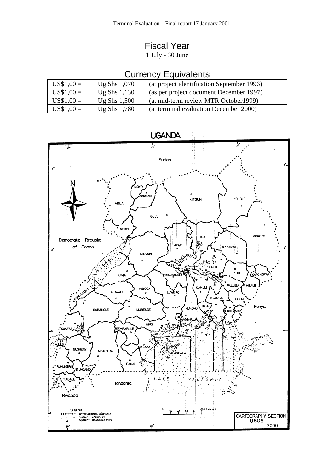## Fiscal Year

1 July - 30 June

# Currency Equivalents

| $US$1,00 =$ | Ug Shs $1,070$ | (at project identification September 1996) |
|-------------|----------------|--------------------------------------------|
| $US$1,00 =$ | Ug Shs $1,130$ | (as per project document December 1997)    |
| $US$1,00 =$ | Ug Shs $1,500$ | (at mid-term review MTR October 1999)      |
| $US$1,00 =$ | Ug Shs $1,780$ | (at terminal evaluation December 2000)     |



### **UGANDA**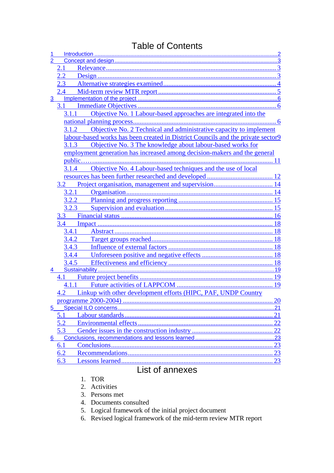### Table of Contents

|                | 2.1                                                                              |    |
|----------------|----------------------------------------------------------------------------------|----|
|                | $2.2\,$                                                                          |    |
|                | 2.3                                                                              |    |
|                | $2.4\_\_$                                                                        |    |
| 3 <sup>1</sup> |                                                                                  |    |
|                |                                                                                  |    |
|                | Objective No. 1 Labour-based approaches are integrated into the<br>3.1.1         |    |
|                |                                                                                  |    |
|                | Objective No. 2 Technical and administrative capacity to implement<br>3.1.2      |    |
|                | labour-based works has been created in District Councils and the private sector9 |    |
|                | Objective No. 3 The knowledge about labour-based works for<br>3.1.3              |    |
|                | employment generation has increased among decision-makers and the general        |    |
|                |                                                                                  |    |
|                | 3.1.4 Objective No. 4 Labour-based techniques and the use of local               |    |
|                |                                                                                  |    |
|                | 3.2                                                                              |    |
|                | 3.2.1                                                                            |    |
|                | 3.2.2                                                                            |    |
|                | 3.2.3                                                                            |    |
|                |                                                                                  |    |
|                |                                                                                  |    |
|                | 3.4.1                                                                            |    |
|                | 3.4.2                                                                            |    |
|                | 3.4.3                                                                            |    |
|                | 3.4.4                                                                            |    |
|                | 3.4.5                                                                            |    |
| 4              |                                                                                  |    |
|                |                                                                                  |    |
|                | 4.1.1                                                                            |    |
|                | 4.2 Linkup with other development efforts (HIPC, PAF, UNDP Country               |    |
|                | programme 2000-2004)                                                             | 20 |
| 5              |                                                                                  |    |
|                | 5.1                                                                              |    |
|                | 5.2                                                                              |    |
|                | 5.3                                                                              | 22 |
| 6.             |                                                                                  |    |
|                | 6.1                                                                              |    |
|                | 6.2                                                                              |    |
|                | 6.3                                                                              |    |
|                | List of oppoves                                                                  |    |

### List of annexes

### 1. TOR

- 2. Activities
- 3. Persons met
- 4. Documents consulted
- 5. Logical framework of the initial project document
- 6. Revised logical framework of the mid-term review MTR report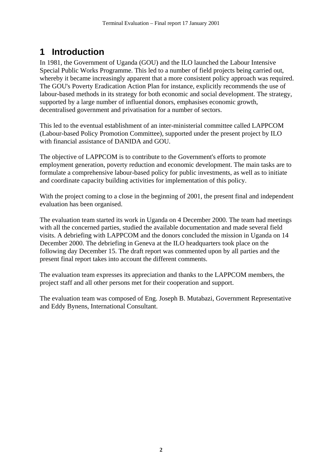# <span id="page-4-0"></span>**1 Introduction**

In 1981, the Government of Uganda (GOU) and the ILO launched the Labour Intensive Special Public Works Programme. This led to a number of field projects being carried out, whereby it became increasingly apparent that a more consistent policy approach was required. The GOU's Poverty Eradication Action Plan for instance, explicitly recommends the use of labour-based methods in its strategy for both economic and social development. The strategy, supported by a large number of influential donors, emphasises economic growth, decentralised government and privatisation for a number of sectors.

This led to the eventual establishment of an inter-ministerial committee called LAPPCOM (Labour-based Policy Promotion Committee), supported under the present project by ILO with financial assistance of DANIDA and GOU.

The objective of LAPPCOM is to contribute to the Government's efforts to promote employment generation, poverty reduction and economic development. The main tasks are to formulate a comprehensive labour-based policy for public investments, as well as to initiate and coordinate capacity building activities for implementation of this policy.

With the project coming to a close in the beginning of 2001, the present final and independent evaluation has been organised.

The evaluation team started its work in Uganda on 4 December 2000. The team had meetings with all the concerned parties, studied the available documentation and made several field visits. A debriefing with LAPPCOM and the donors concluded the mission in Uganda on 14 December 2000. The debriefing in Geneva at the ILO headquarters took place on the following day December 15. The draft report was commented upon by all parties and the present final report takes into account the different comments.

The evaluation team expresses its appreciation and thanks to the LAPPCOM members, the project staff and all other persons met for their cooperation and support.

The evaluation team was composed of Eng. Joseph B. Mutabazi, Government Representative and Eddy Bynens, International Consultant.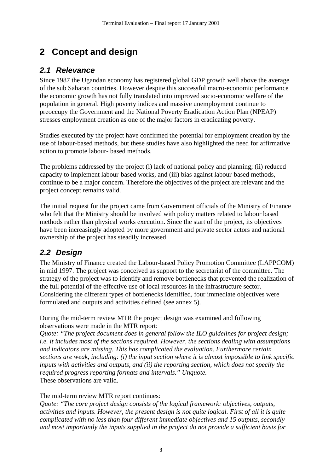# <span id="page-5-0"></span>**2 Concept and design**

### *2.1 Relevance*

Since 1987 the Ugandan economy has registered global GDP growth well above the average of the sub Saharan countries. However despite this successful macro-economic performance the economic growth has not fully translated into improved socio-economic welfare of the population in general. High poverty indices and massive unemployment continue to preoccupy the Government and the National Poverty Eradication Action Plan (NPEAP) stresses employment creation as one of the major factors in eradicating poverty.

Studies executed by the project have confirmed the potential for employment creation by the use of labour-based methods, but these studies have also highlighted the need for affirmative action to promote labour- based methods.

The problems addressed by the project (i) lack of national policy and planning; (ii) reduced capacity to implement labour-based works, and (iii) bias against labour-based methods, continue to be a major concern. Therefore the objectives of the project are relevant and the project concept remains valid.

The initial request for the project came from Government officials of the Ministry of Finance who felt that the Ministry should be involved with policy matters related to labour based methods rather than physical works execution. Since the start of the project, its objectives have been increasingly adopted by more government and private sector actors and national ownership of the project has steadily increased.

### *2.2 Design*

The Ministry of Finance created the Labour-based Policy Promotion Committee (LAPPCOM) in mid 1997. The project was conceived as support to the secretariat of the committee. The strategy of the project was to identify and remove bottlenecks that prevented the realization of the full potential of the effective use of local resources in the infrastructure sector. Considering the different types of bottlenecks identified, four immediate objectives were formulated and outputs and activities defined (see annex 5).

During the mid-term review MTR the project design was examined and following observations were made in the MTR report:

*Quote: "The project document does in general follow the ILO guidelines for project design; i.e. it includes most of the sections required. However, the sections dealing with assumptions and indicators are missing. This has complicated the evaluation. Furthermore certain sections are weak, including: (i) the input section where it is almost impossible to link specific inputs with activities and outputs, and (ii) the reporting section, which does not specify the required progress reporting formats and intervals." Unquote.*  These observations are valid.

#### The mid-term review MTR report continues:

*Quote: "The core project design consists of the logical framework: objectives, outputs, activities and inputs. However, the present design is not quite logical. First of all it is quite complicated with no less than four different immediate objectives and 15 outputs, secondly and most importantly the inputs supplied in the project do not provide a sufficient basis for*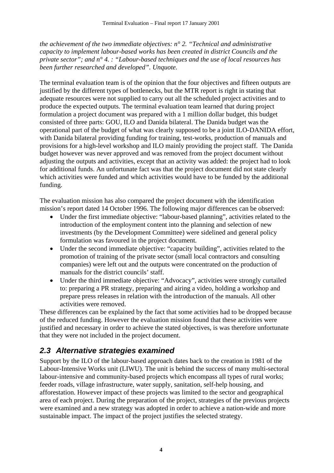<span id="page-6-0"></span>*the achievement of the two immediate objectives: n° 2. "Technical and administrative capacity to implement labour-based works has been created in district Councils and the private sector"; and n° 4. : "Labour-based techniques and the use of local resources has been further researched and developed". Unquote.* 

The terminal evaluation team is of the opinion that the four objectives and fifteen outputs are justified by the different types of bottlenecks, but the MTR report is right in stating that adequate resources were not supplied to carry out all the scheduled project activities and to produce the expected outputs. The terminal evaluation team learned that during project formulation a project document was prepared with a 1 million dollar budget, this budget consisted of three parts: GOU, ILO and Danida bilateral. The Danida budget was the operational part of the budget of what was clearly supposed to be a joint ILO-DANIDA effort, with Danida bilateral providing funding for training, test-works, production of manuals and provisions for a high-level workshop and ILO mainly providing the project staff. The Danida budget however was never approved and was removed from the project document without adjusting the outputs and activities, except that an activity was added: the project had to look for additional funds. An unfortunate fact was that the project document did not state clearly which activities were funded and which activities would have to be funded by the additional funding.

The evaluation mission has also compared the project document with the identification mission's report dated 14 October 1996. The following major differences can be observed:

- Under the first immediate objective: "labour-based planning", activities related to the introduction of the employment content into the planning and selection of new investments (by the Development Committee) were sidelined and general policy formulation was favoured in the project document.
- Under the second immediate objective: "capacity building", activities related to the promotion of training of the private sector (small local contractors and consulting companies) were left out and the outputs were concentrated on the production of manuals for the district councils' staff.
- Under the third immediate objective: "Advocacy", activities were strongly curtailed to: preparing a PR strategy, preparing and airing a video, holding a workshop and prepare press releases in relation with the introduction of the manuals. All other activities were removed.

These differences can be explained by the fact that some activities had to be dropped because of the reduced funding. However the evaluation mission found that these activities were justified and necessary in order to achieve the stated objectives, is was therefore unfortunate that they were not included in the project document.

### *2.3 Alternative strategies examined*

Support by the ILO of the labour-based approach dates back to the creation in 1981 of the Labour-Intensive Works unit (LIWU). The unit is behind the success of many multi-sectoral labour-intensive and community-based projects which encompass all types of rural works; feeder roads, village infrastructure, water supply, sanitation, self-help housing, and afforestation. However impact of these projects was limited to the sector and geographical area of each project. During the preparation of the project, strategies of the previous projects were examined and a new strategy was adopted in order to achieve a nation-wide and more sustainable impact. The impact of the project justifies the selected strategy.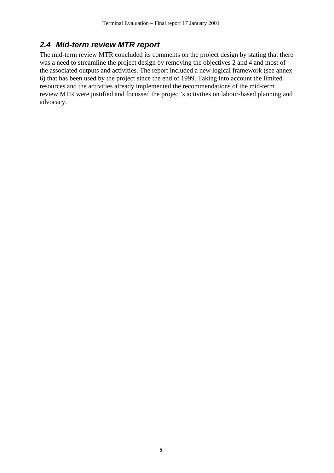### <span id="page-7-0"></span>*2.4 Mid-term review MTR report*

The mid-term review MTR concluded its comments on the project design by stating that there was a need to streamline the project design by removing the objectives 2 and 4 and most of the associated outputs and activities. The report included a new logical framework (see annex 6) that has been used by the project since the end of 1999. Taking into account the limited resources and the activities already implemented the recommendations of the mid-term review MTR were justified and focussed the project's activities on labour-based planning and advocacy.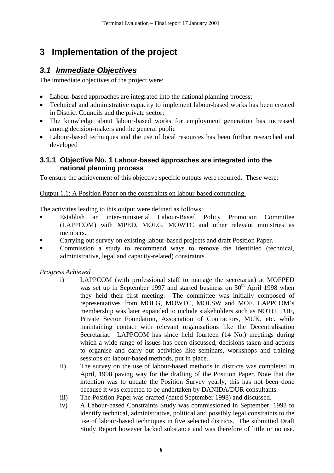# <span id="page-8-0"></span>**3 Implementation of the project**

### *3.1 Immediate Objectives*

The immediate objectives of the project were:

- Labour-based approaches are integrated into the national planning process;
- Technical and administrative capacity to implement labour-based works has been created in District Councils and the private sector;
- The knowledge about labour-based works for employment generation has increased among decision-makers and the general public
- Labour-based techniques and the use of local resources has been further researched and developed

#### **3.1.1 Objective No. 1 Labour-based approaches are integrated into the national planning process**

To ensure the achievement of this objective specific outputs were required. These were:

#### Output 1.1: A Position Paper on the constraints on labour-based contracting.

The activities leading to this output were defined as follows:

- Establish an inter-ministerial Labour-Based Policy Promotion Committee (LAPPCOM) with MPED, MOLG, MOWTC and other relevant ministries as members.
- Carrying out survey on existing labour-based projects and draft Position Paper.
- Commission a study to recommend ways to remove the identified (technical, administrative, legal and capacity-related) constraints.

*Progress Achieved* 

- i) LAPPCOM (with professional staff to manage the secretariat) at MOFPED was set up in September 1997 and started business on  $30<sup>th</sup>$  April 1998 when they held their first meeting. The committee was initially composed of representatives from MOLG, MOWTC, MOLSW and MOF. LAPPCOM's membership was later expanded to include stakeholders such as NOTU, FUE, Private Sector Foundation, Association of Contractors, MUK, etc. while maintaining contact with relevant organisations like the Decentralisation Secretariat. LAPPCOM has since held fourteen (14 No.) meetings during which a wide range of issues has been discussed, decisions taken and actions to organise and carry out activities like seminars, workshops and training sessions on labour-based methods, put in place.
- ii) The survey on the use of labour-based methods in districts was completed in April, 1998 paving way for the drafting of the Position Paper. Note that the intention was to update the Position Survey yearly, this has not been done because it was expected to be undertaken by DANIDA/DUR consultants.
- iii) The Position Paper was drafted (dated September 1998) and discussed.
- iv) A Labour-based Constraints Study was commissioned in September, 1998 to identify technical, administrative, political and possibly legal constraints to the use of labour-based techniques in five selected districts. The submitted Draft Study Report however lacked substance and was therefore of little or no use.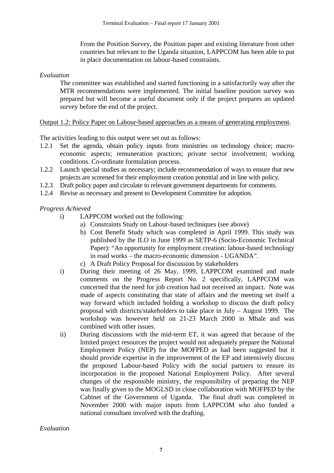From the Position Survey, the Position paper and existing literature from other countries but relevant to the Uganda situation, LAPPCOM has been able to put in place documentation on labour-based constraints.

#### *Evaluation*

The committee was established and started functioning in a satisfactorily way after the MTR recommendations were implemented. The initial baseline position survey was prepared but will become a useful document only if the project prepares an updated survey before the end of the project.

#### Output 1.2: Policy Paper on Labour-based approaches as a means of generating employment.

The activities leading to this output were set out as follows:

- 1.2.1 Set the agenda, obtain policy inputs from ministries on technology choice; macroeconomic aspects; remuneration practices; private sector involvement; working conditions. Co-ordinate formulation process.
- 1.2.2 Launch special studies as necessary; include recommendation of ways to ensure that new projects are screened for their employment creation potential and in line with policy.
- 1.2.3 Draft policy paper and circulate to relevant government departments for comments.
- 1.2.4 Revise as necessary and present to Development Committee for adoption.

#### *Progress Achieved*

- i) LAPPCOM worked out the following:
	- a) Constraints Study on Labour-based techniques (see above)
		- b) Cost Benefit Study which was completed in April 1999. This study was published by the ILO in June 1999 as SETP-6 (Socio-Economic Technical Paper): "An opportunity for employment creation: labour-based technology in road works – the macro-economic dimension - UGANDA".
	- c) A Draft Policy Proposal for discussion by stakeholders
- i) During their meeting of 26 May, 1999, LAPPCOM examined and made comments on the Progress Report No. 2 specifically, LAPPCOM was concerned that the need for job creation had not received an impact. Note was made of aspects constituting that state of affairs and the meeting set itself a way forward which included holding a workshop to discuss the draft policy proposal with districts/stakeholders to take place in July – August 1999. The workshop was however held on 21-23 March 2000 in Mbale and was combined with other issues.
- ii) During discussions with the mid-term ET, it was agreed that because of the limited project resources the project would not adequately prepare the National Employment Policy (NEP) for the MOFPED as had been suggested but it should provide expertise in the improvement of the EP and intensively discuss the proposed Labour-based Policy with the social partners to ensure its incorporation in the proposed National Employment Policy. After several changes of the responsible ministry, the responsibility of preparing the NEP was finally given to the MOGLSD in close collaboration with MOFPED by the Cabinet of the Government of Uganda. The final draft was completed in November 2000 with major inputs from LAPPCOM who also funded a national consultant involved with the drafting.

#### *Evaluation*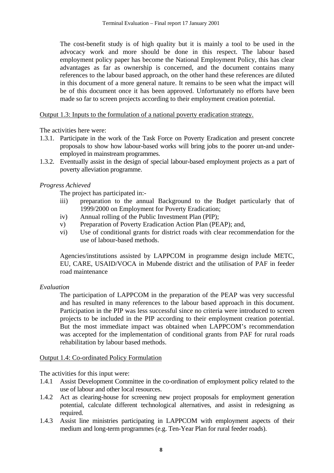The cost-benefit study is of high quality but it is mainly a tool to be used in the advocacy work and more should be done in this respect. The labour based employment policy paper has become the National Employment Policy, this has clear advantages as far as ownership is concerned, and the document contains many references to the labour based approach, on the other hand these references are diluted in this document of a more general nature. It remains to be seen what the impact will be of this document once it has been approved. Unfortunately no efforts have been made so far to screen projects according to their employment creation potential.

Output 1.3: Inputs to the formulation of a national poverty eradication strategy.

The activities here were:

- 1.3.1. Participate in the work of the Task Force on Poverty Eradication and present concrete proposals to show how labour-based works will bring jobs to the poorer un-and underemployed in mainstream programmes.
- 1.3.2. Eventually assist in the design of special labour-based employment projects as a part of poverty alleviation programme.

#### *Progress Achieved*

The project has participated in:-

- iii) preparation to the annual Background to the Budget particularly that of 1999/2000 on Employment for Poverty Eradication;
- iv) Annual rolling of the Public Investment Plan (PIP);
- v) Preparation of Poverty Eradication Action Plan (PEAP); and,
- vi) Use of conditional grants for district roads with clear recommendation for the use of labour-based methods.

Agencies/institutions assisted by LAPPCOM in programme design include METC, EU, CARE, USAID/VOCA in Mubende district and the utilisation of PAF in feeder road maintenance

#### *Evaluation*

The participation of LAPPCOM in the preparation of the PEAP was very successful and has resulted in many references to the labour based approach in this document. Participation in the PIP was less successful since no criteria were introduced to screen projects to be included in the PIP according to their employment creation potential. But the most immediate impact was obtained when LAPPCOM's recommendation was accepted for the implementation of conditional grants from PAF for rural roads rehabilitation by labour based methods.

#### Output 1.4: Co-ordinated Policy Formulation

The activities for this input were:

- 1.4.1 Assist Development Committee in the co-ordination of employment policy related to the use of labour and other local resources.
- 1.4.2 Act as clearing-house for screening new project proposals for employment generation potential, calculate different technological alternatives, and assist in redesigning as required.
- 1.4.3 Assist line ministries participating in LAPPCOM with employment aspects of their medium and long-term programmes (e.g. Ten-Year Plan for rural feeder roads).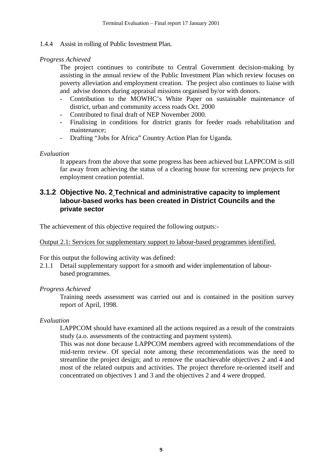#### <span id="page-11-0"></span>1.4.4 Assist in rolling of Public Investment Plan.

#### *Progress Achieved*

The project continues to contribute to Central Government decision-making by assisting in the annual review of the Public Investment Plan which review focuses on poverty alleviation and employment creation. The project also continues to liaise with and advise donors during appraisal missions organised by/or with donors.

- Contribution to the MOWHC's White Paper on sustainable maintenance of district, urban and community access roads Oct. 2000
- Contributed to final draft of NEP November 2000.
- Finalising in conditions for district grants for feeder roads rehabilitation and maintenance;
- Drafting "Jobs for Africa" Country Action Plan for Uganda.

#### *Evaluation*

It appears from the above that some progress has been achieved but LAPPCOM is still far away from achieving the status of a clearing house for screening new projects for employment creation potential.

#### **3.1.2 Objective No. 2 Technical and administrative capacity to implement labour-based works has been created in District Councils and the private sector**

The achievement of this objective required the following outputs:-

#### Output 2.1: Services for supplementary support to labour-based programmes identified.

For this output the following activity was defined:

2.1.1 Detail supplementary support for a smooth and wider implementation of labour based programmes.

#### *Progress Achieved*

Training needs assessment was carried out and is contained in the position survey report of April, 1998.

#### *Evaluation*

LAPPCOM should have examined all the actions required as a result of the constraints study (a.o. assessments of the contracting and payment system).

This was not done because LAPPCOM members agreed with recommendations of the mid-term review. Of special note among these recommendations was the need to streamline the project design; and to remove the unachievable objectives 2 and 4 and most of the related outputs and activities. The project therefore re-oriented itself and concentrated on objectives 1 and 3 and the objectives 2 and 4 were dropped.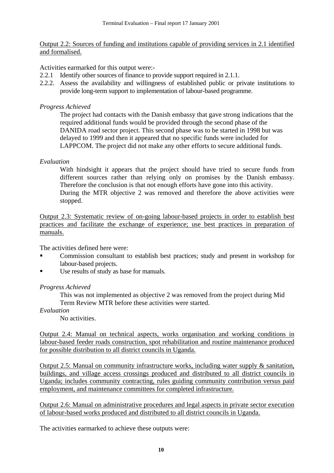Output 2.2: Sources of funding and institutions capable of providing services in 2.1 identified and formalised.

Activities earmarked for this output were:-

- 2.2.1 Identify other sources of finance to provide support required in 2.1.1.
- 2.2.2. Assess the availability and willingness of established public or private institutions to provide long-term support to implementation of labour-based programme.

#### *Progress Achieved*

The project had contacts with the Danish embassy that gave strong indications that the required additional funds would be provided through the second phase of the DANIDA road sector project. This second phase was to be started in 1998 but was delayed to 1999 and then it appeared that no specific funds were included for LAPPCOM. The project did not make any other efforts to secure additional funds.

#### *Evaluation*

With hindsight it appears that the project should have tried to secure funds from different sources rather than relying only on promises by the Danish embassy. Therefore the conclusion is that not enough efforts have gone into this activity. During the MTR objective 2 was removed and therefore the above activities were stopped.

Output 2.3: Systematic review of on-going labour-based projects in order to establish best practices and facilitate the exchange of experience; use best practices in preparation of manuals.

The activities defined here were:

- Commission consultant to establish best practices; study and present in workshop for labour-based projects.
- Use results of study as base for manuals.

#### *Progress Achieved*

This was not implemented as objective 2 was removed from the project during Mid Term Review MTR before these activities were started.

*Evaluation* 

No activities.

Output 2.4: Manual on technical aspects, works organisation and working conditions in labour-based feeder roads construction, spot rehabilitation and routine maintenance produced for possible distribution to all district councils in Uganda.

Output 2.5: Manual on community infrastructure works, including water supply & sanitation, buildings, and village access crossings produced and distributed to all district councils in Uganda; includes community contracting, rules guiding community contribution versus paid employment, and maintenance committees for completed infrastructure.

Output 2.6: Manual on administrative procedures and legal aspects in private sector execution of labour-based works produced and distributed to all district councils in Uganda.

The activities earmarked to achieve these outputs were: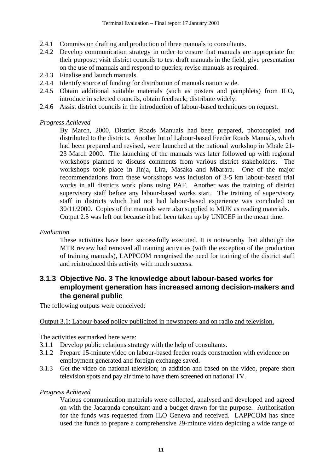- <span id="page-13-0"></span>2.4.1 Commission drafting and production of three manuals to consultants.
- 2.4.2 Develop communication strategy in order to ensure that manuals are appropriate for their purpose; visit district councils to test draft manuals in the field, give presentation on the use of manuals and respond to queries; revise manuals as required.
- 2.4.3 Finalise and launch manuals.
- 2.4.4 Identify source of funding for distribution of manuals nation wide.
- 2.4.5 Obtain additional suitable materials (such as posters and pamphlets) from ILO, introduce in selected councils, obtain feedback; distribute widely.
- 2.4.6 Assist district councils in the introduction of labour-based techniques on request.

#### *Progress Achieved*

By March, 2000, District Roads Manuals had been prepared, photocopied and distributed to the districts. Another lot of Labour-based Feeder Roads Manuals, which had been prepared and revised, were launched at the national workshop in Mbale 21- 23 March 2000. The launching of the manuals was later followed up with regional workshops planned to discuss comments from various district stakeholders. The workshops took place in Jinja, Lira, Masaka and Mbarara. One of the major recommendations from these workshops was inclusion of 3-5 km labour-based trial works in all districts work plans using PAF. Another was the training of district supervisory staff before any labour-based works start. The training of supervisory staff in districts which had not had labour-based experience was concluded on 30/11/2000. Copies of the manuals were also supplied to MUK as reading materials. Output 2.5 was left out because it had been taken up by UNICEF in the mean time.

#### *Evaluation*

These activities have been successfully executed. It is noteworthy that although the MTR review had removed all training activities (with the exception of the production of training manuals), LAPPCOM recognised the need for training of the district staff and reintroduced this activity with much success.

#### **3.1.3 Objective No. 3 The knowledge about labour-based works for employment generation has increased among decision-makers and the general public**

The following outputs were conceived:

#### Output 3.1: Labour-based policy publicized in newspapers and on radio and television.

The activities earmarked here were:

- 3.1.1 Develop public relations strategy with the help of consultants.
- 3.1.2 Prepare 15-minute video on labour-based feeder roads construction with evidence on employment generated and foreign exchange saved.
- 3.1.3 Get the video on national television; in addition and based on the video, prepare short television spots and pay air time to have them screened on national TV.

#### *Progress Achieved*

Various communication materials were collected, analysed and developed and agreed on with the Jacaranda consultant and a budget drawn for the purpose. Authorisation for the funds was requested from ILO Geneva and received. LAPPCOM has since used the funds to prepare a comprehensive 29-minute video depicting a wide range of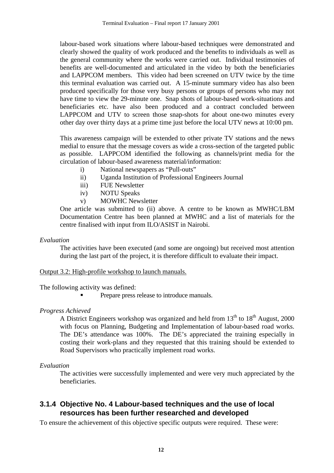<span id="page-14-0"></span>labour-based work situations where labour-based techniques were demonstrated and clearly showed the quality of work produced and the benefits to individuals as well as the general community where the works were carried out. Individual testimonies of benefits are well-documented and articulated in the video by both the beneficiaries and LAPPCOM members. This video had been screened on UTV twice by the time this terminal evaluation was carried out. A 15-minute summary video has also been produced specifically for those very busy persons or groups of persons who may not have time to view the 29-minute one. Snap shots of labour-based work-situations and beneficiaries etc. have also been produced and a contract concluded between LAPPCOM and UTV to screen those snap-shots for about one-two minutes every other day over thirty days at a prime time just before the local UTV news at 10:00 pm.

This awareness campaign will be extended to other private TV stations and the news medial to ensure that the message covers as wide a cross-section of the targeted public as possible. LAPPCOM identified the following as channels/print media for the circulation of labour-based awareness material/information:

- i) National newspapers as "Pull-outs"
- ii) Uganda Institution of Professional Engineers Journal
- iii) FUE Newsletter
- iv) NOTU Speaks
- v) MOWHC Newsletter

One article was submitted to (ii) above. A centre to be known as MWHC/LBM Documentation Centre has been planned at MWHC and a list of materials for the centre finalised with input from ILO/ASIST in Nairobi.

#### *Evaluation*

The activities have been executed (and some are ongoing) but received most attention during the last part of the project, it is therefore difficult to evaluate their impact.

#### Output 3.2: High-profile workshop to launch manuals.

The following activity was defined:

Prepare press release to introduce manuals.

#### *Progress Achieved*

A District Engineers workshop was organized and held from  $13<sup>th</sup>$  to  $18<sup>th</sup>$  August, 2000 with focus on Planning, Budgeting and Implementation of labour-based road works. The DE's attendance was 100%. The DE's appreciated the training especially in costing their work-plans and they requested that this training should be extended to Road Supervisors who practically implement road works.

#### *Evaluation*

The activities were successfully implemented and were very much appreciated by the beneficiaries.

#### **3.1.4 Objective No. 4 Labour-based techniques and the use of local resources has been further researched and developed**

To ensure the achievement of this objective specific outputs were required. These were: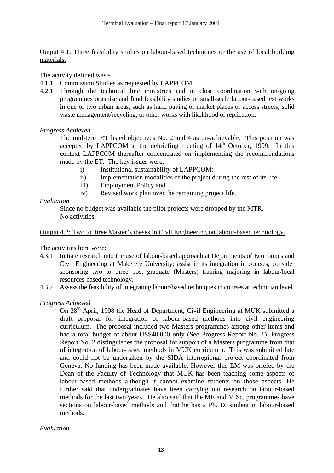Output 4.1: Three feasibility studies on labour-based techniques or the use of local building materials.

The activity defined was:-

- 4.1.1 Commission Studies as requested by LAPPCOM.
- 4.2.1 Through the technical line ministries and in close coordination with on-going programmes organise and fund feasibility studies of small-scale labour-based test works in one or two urban areas, such as hand paving of market places or access streets; solid waste management/recycling; or other works with likelihood of replication.

#### *Progress Achieved*

The mid-term ET listed objectives No. 2 and 4 as un-achievable. This position was accepted by LAPPCOM at the debriefing meeting of  $14<sup>th</sup>$  October, 1999. In this context LAPPCOM thereafter concentrated on implementing the recommendations made by the ET. The key issues were:

- i) Institutional sustainability of LAPPCOM;
- ii) Implementation modalities of the project during the rest of its life.
- iii) Employment Policy and
- iv) Revised work plan over the remaining project life.

#### *Evaluation*

Since no budget was available the pilot projects were dropped by the MTR. No activities.

#### Output 4.2: Two to three Master's theses in Civil Engineering on labour-based technology.

The activities here were:

- 4.3.1 Initiate research into the use of labour-based approach at Departments of Economics and Civil Engineering at Makerere University; assist in its integration in courses; consider sponsoring two to three post graduate (Masters) training majoring in labour/local resources-based technology.
- 4.3.2 Assess the feasibility of integrating labour-based techniques in courses at technician level.

#### *Progress Achieved*

On 28<sup>th</sup> April, 1998 the Head of Department, Civil Engineering at MUK submitted a draft proposal for integration of labour-based methods into civil engineering curriculum. The proposal included two Masters programmes among other items and had a total budget of about US\$40,000 only (See Progress Report No. 1). Progress Report No. 2 distinguishes the proposal for support of a Masters programme from that of integration of labour-based methods in MUK curriculum. This was submitted late and could not be undertaken by the SIDA interregional project coordinated from Geneva. No funding has been made available. However this EM was briefed by the Dean of the Faculty of Technology that MUK has been teaching some aspects of labour-based methods although it cannot examine students on those aspects. He further said that undergraduates have been carrying out research on labour-based methods for the last two years. He also said that the ME and M.Sc. programmes have sections on labour-based methods and that he has a Ph. D. student in labour-based methods.

#### *Evaluation*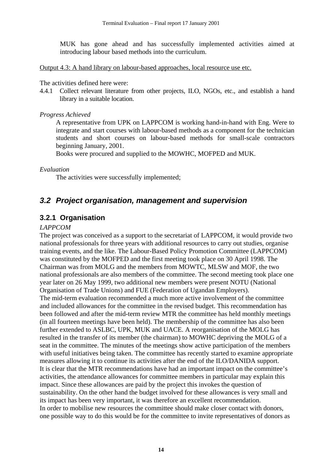<span id="page-16-0"></span>MUK has gone ahead and has successfully implemented activities aimed at introducing labour based methods into the curriculum.

Output 4.3: A hand library on labour-based approaches, local resource use etc.

#### The activities defined here were:

4.4.1 Collect relevant literature from other projects, ILO, NGOs, etc., and establish a hand library in a suitable location.

#### *Progress Achieved*

A representative from UPK on LAPPCOM is working hand-in-hand with Eng. Were to integrate and start courses with labour-based methods as a component for the technician students and short courses on labour-based methods for small-scale contractors beginning January, 2001.

Books were procured and supplied to the MOWHC, MOFPED and MUK.

#### *Evaluation*

The activities were successfully implemented;

### *3.2 Project organisation, management and supervision*

### **3.2.1 Organisation**

#### *LAPPCOM*

The project was conceived as a support to the secretariat of LAPPCOM, it would provide two national professionals for three years with additional resources to carry out studies, organise training events, and the like. The Labour-Based Policy Promotion Committee (LAPPCOM) was constituted by the MOFPED and the first meeting took place on 30 April 1998. The Chairman was from MOLG and the members from MOWTC, MLSW and MOF, the two national professionals are also members of the committee. The second meeting took place one year later on 26 May 1999, two additional new members were present NOTU (National Organisation of Trade Unions) and FUE (Federation of Ugandan Employers). The mid-term evaluation recommended a much more active involvement of the committee and included allowances for the committee in the revised budget. This recommendation has been followed and after the mid-term review MTR the committee has held monthly meetings (in all fourteen meetings have been held). The membership of the committee has also been further extended to ASLBC, UPK, MUK and UACE. A reorganisation of the MOLG has resulted in the transfer of its member (the chairman) to MOWHC depriving the MOLG of a seat in the committee. The minutes of the meetings show active participation of the members with useful initiatives being taken. The committee has recently started to examine appropriate measures allowing it to continue its activities after the end of the ILO/DANIDA support. It is clear that the MTR recommendations have had an important impact on the committee's activities, the attendance allowances for committee members in particular may explain this impact. Since these allowances are paid by the project this invokes the question of sustainability. On the other hand the budget involved for these allowances is very small and its impact has been very important, it was therefore an excellent recommendation. In order to mobilise new resources the committee should make closer contact with donors, one possible way to do this would be for the committee to invite representatives of donors as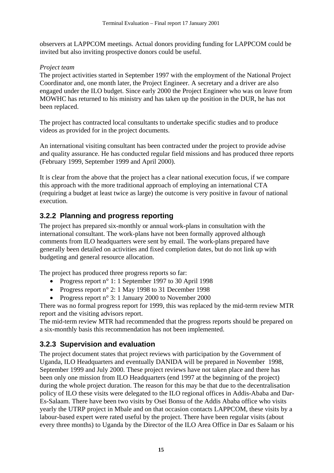<span id="page-17-0"></span>observers at LAPPCOM meetings. Actual donors providing funding for LAPPCOM could be invited but also inviting prospective donors could be useful.

#### *Project team*

The project activities started in September 1997 with the employment of the National Project Coordinator and, one month later, the Project Engineer. A secretary and a driver are also engaged under the ILO budget. Since early 2000 the Project Engineer who was on leave from MOWHC has returned to his ministry and has taken up the position in the DUR, he has not been replaced.

The project has contracted local consultants to undertake specific studies and to produce videos as provided for in the project documents.

An international visiting consultant has been contracted under the project to provide advise and quality assurance. He has conducted regular field missions and has produced three reports (February 1999, September 1999 and April 2000).

It is clear from the above that the project has a clear national execution focus, if we compare this approach with the more traditional approach of employing an international CTA (requiring a budget at least twice as large) the outcome is very positive in favour of national execution.

### **3.2.2 Planning and progress reporting**

The project has prepared six-monthly or annual work-plans in consultation with the international consultant. The work-plans have not been formally approved although comments from ILO headquarters were sent by email. The work-plans prepared have generally been detailed on activities and fixed completion dates, but do not link up with budgeting and general resource allocation.

The project has produced three progress reports so far:

- Progress report n° 1: 1 September 1997 to 30 April 1998
- Progress report n° 2: 1 May 1998 to 31 December 1998
- Progress report n° 3: 1 January 2000 to November 2000

There was no formal progress report for 1999, this was replaced by the mid-term review MTR report and the visiting advisors report.

The mid-term review MTR had recommended that the progress reports should be prepared on a six-monthly basis this recommendation has not been implemented.

### **3.2.3 Supervision and evaluation**

The project document states that project reviews with participation by the Government of Uganda, ILO Headquarters and eventually DANIDA will be prepared in November 1998, September 1999 and July 2000. These project reviews have not taken place and there has been only one mission from ILO Headquarters (end 1997 at the beginning of the project) during the whole project duration. The reason for this may be that due to the decentralisation policy of ILO these visits were delegated to the ILO regional offices in Addis-Ababa and Dar-Es-Salaam. There have been two visits by Osei Bonsu of the Addis Ababa office who visits yearly the UTRP project in Mbale and on that occasion contacts LAPPCOM, these visits by a labour-based expert were rated useful by the project. There have been regular visits (about every three months) to Uganda by the Director of the ILO Area Office in Dar es Salaam or his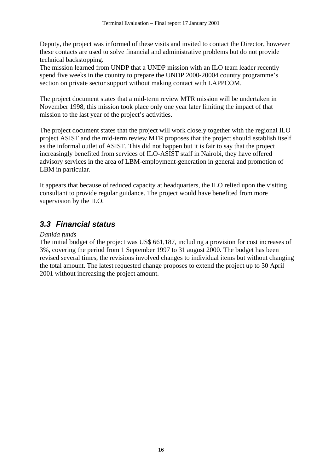<span id="page-18-0"></span>Deputy, the project was informed of these visits and invited to contact the Director, however these contacts are used to solve financial and administrative problems but do not provide technical backstopping.

The mission learned from UNDP that a UNDP mission with an ILO team leader recently spend five weeks in the country to prepare the UNDP 2000-20004 country programme's section on private sector support without making contact with LAPPCOM.

The project document states that a mid-term review MTR mission will be undertaken in November 1998, this mission took place only one year later limiting the impact of that mission to the last year of the project's activities.

The project document states that the project will work closely together with the regional ILO project ASIST and the mid-term review MTR proposes that the project should establish itself as the informal outlet of ASIST. This did not happen but it is fair to say that the project increasingly benefited from services of ILO-ASIST staff in Nairobi, they have offered advisory services in the area of LBM-employment-generation in general and promotion of LBM in particular.

It appears that because of reduced capacity at headquarters, the ILO relied upon the visiting consultant to provide regular guidance. The project would have benefited from more supervision by the ILO.

### *3.3 Financial status*

#### *Danida funds*

The initial budget of the project was US\$ 661,187, including a provision for cost increases of 3%, covering the period from 1 September 1997 to 31 august 2000. The budget has been revised several times, the revisions involved changes to individual items but without changing the total amount. The latest requested change proposes to extend the project up to 30 April 2001 without increasing the project amount.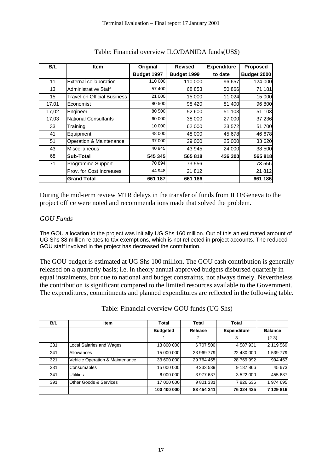| B/L   | <b>Item</b>                        | Original    | <b>Revised</b> | <b>Expenditure</b> | <b>Proposed</b> |
|-------|------------------------------------|-------------|----------------|--------------------|-----------------|
|       |                                    | Budget 1997 | Budget 1999    | to date            | Budget 2000     |
| 11    | External collaboration             | 110 000     | 110 000        | 96 657             | 124 000         |
| 13    | <b>Administrative Staff</b>        | 57 400      | 68 853         | 50 866             | 71 181          |
| 15    | <b>Travel on Official Business</b> | 21 000      | 15 000         | 11 024             | 15 000          |
| 17,01 | Economist                          | 80 500      | 98 420         | 81 400             | 96 800          |
| 17,02 | Engineer                           | 80 500      | 52 600         | 51 103             | 51 103          |
| 17,03 | <b>National Consultants</b>        | 60 000      | 38 000         | 27 000             | 37 236          |
| 33    | Training                           | 10 000      | 62 000         | 23 572             | 51 700          |
| 41    | Equipment                          | 48 000      | 48 000         | 45 678             | 46 678          |
| 51    | Operation & Maintenance            | 37 000      | 29 000         | <b>25 000</b>      | 33 620          |
| 43    | Miscellaneous                      | 40 945      | 43 945         | 24 000             | 38 500          |
| 68    | Sub-Total                          | 545 345     | 565 818        | 436 300            | 565 818         |
| 71    | Programme Support                  | 70 894      | 73 556         |                    | 73 556          |
|       | Prov. for Cost Increases           | 44 948      | 21 812         |                    | 21 812          |
|       | <b>Grand Total</b>                 | 661 187     | 661 186        |                    | 661 186         |

#### Table: Financial overview ILO/DANIDA funds(US\$)

During the mid-term review MTR delays in the transfer of funds from ILO/Geneva to the project office were noted and recommendations made that solved the problem.

#### *GOU Funds*

The GOU allocation to the project was initially UG Shs 160 million. Out of this an estimated amount of UG Shs 38 million relates to tax exemptions, which is not reflected in project accounts. The reduced GOU staff involved in the project has decreased the contribution.

The GOU budget is estimated at UG Shs 100 million. The GOU cash contribution is generally released on a quarterly basis; i.e. in theory annual approved budgets disbursed quarterly in equal instalments, but due to national and budget constraints, not always timely. Nevertheless the contribution is significant compared to the limited resources available to the Government. The expenditures, commitments and planned expenditures are reflected in the following table.

| B/L | <b>Item</b>                       | Total           | Total      | Total              |                |
|-----|-----------------------------------|-----------------|------------|--------------------|----------------|
|     |                                   | <b>Budgeted</b> | Release    | <b>Expenditure</b> | <b>Balance</b> |
|     |                                   |                 | 2          | 3                  | $(2-3)$        |
| 231 | Local Salaries and Wages          | 13 800 000      | 6707500    | 4587931            | 2 119 569      |
| 241 | Allowances                        | 15 000 000      | 23 969 779 | 22 430 000         | 1 539 779      |
| 321 | Vehicle Operation & Maintenance   | 33 600 000      | 29 764 455 | 28 769 992         | 994 463        |
| 331 | Consumables                       | 15 000 000      | 9 233 539  | 9 187 866          | 45 673         |
| 341 | <b>Utilities</b>                  | 6 000 000       | 3 977 637  | 3 522 000          | 455 637        |
| 391 | <b>Other Goods &amp; Services</b> | 17 000 000      | 9 801 331  | 7826636            | 1974695        |
|     |                                   | 100 400 000     | 83 454 241 | 76 324 425         | 7 129 816      |

Table: Financial overview GOU funds (UG Shs)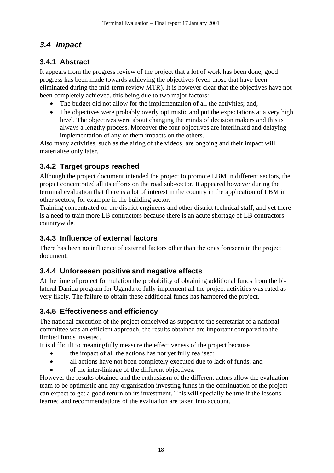### <span id="page-20-0"></span>*3.4 Impact*

### **3.4.1 Abstract**

It appears from the progress review of the project that a lot of work has been done, good progress has been made towards achieving the objectives (even those that have been eliminated during the mid-term review MTR). It is however clear that the objectives have not been completely achieved, this being due to two major factors:

- The budget did not allow for the implementation of all the activities; and,
- The objectives were probably overly optimistic and put the expectations at a very high level. The objectives were about changing the minds of decision makers and this is always a lengthy process. Moreover the four objectives are interlinked and delaying implementation of any of them impacts on the others.

Also many activities, such as the airing of the videos, are ongoing and their impact will materialise only later.

### **3.4.2 Target groups reached**

Although the project document intended the project to promote LBM in different sectors, the project concentrated all its efforts on the road sub-sector. It appeared however during the terminal evaluation that there is a lot of interest in the country in the application of LBM in other sectors, for example in the building sector.

Training concentrated on the district engineers and other district technical staff, and yet there is a need to train more LB contractors because there is an acute shortage of LB contractors countrywide.

### **3.4.3 Influence of external factors**

There has been no influence of external factors other than the ones foreseen in the project document.

### **3.4.4 Unforeseen positive and negative effects**

At the time of project formulation the probability of obtaining additional funds from the bilateral Danida program for Uganda to fully implement all the project activities was rated as very likely. The failure to obtain these additional funds has hampered the project.

### **3.4.5 Effectiveness and efficiency**

The national execution of the project conceived as support to the secretariat of a national committee was an efficient approach, the results obtained are important compared to the limited funds invested.

It is difficult to meaningfully measure the effectiveness of the project because

- the impact of all the actions has not yet fully realised;
- all actions have not been completely executed due to lack of funds; and
- of the inter-linkage of the different objectives.

However the results obtained and the enthusiasm of the different actors allow the evaluation team to be optimistic and any organisation investing funds in the continuation of the project can expect to get a good return on its investment. This will specially be true if the lessons learned and recommendations of the evaluation are taken into account.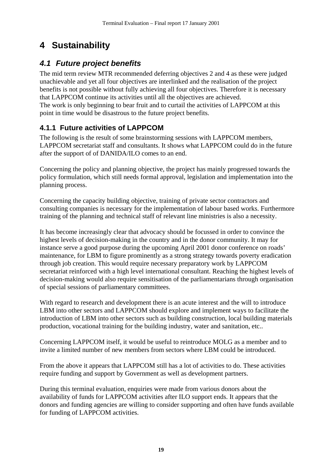# <span id="page-21-0"></span>**4 Sustainability**

### *4.1 Future project benefits*

The mid term review MTR recommended deferring objectives 2 and 4 as these were judged unachievable and yet all four objectives are interlinked and the realisation of the project benefits is not possible without fully achieving all four objectives. Therefore it is necessary that LAPPCOM continue its activities until all the objectives are achieved. The work is only beginning to bear fruit and to curtail the activities of LAPPCOM at this point in time would be disastrous to the future project benefits.

### **4.1.1 Future activities of LAPPCOM**

The following is the result of some brainstorming sessions with LAPPCOM members, LAPPCOM secretariat staff and consultants. It shows what LAPPCOM could do in the future after the support of of DANIDA/ILO comes to an end.

Concerning the policy and planning objective, the project has mainly progressed towards the policy formulation, which still needs formal approval, legislation and implementation into the planning process.

Concerning the capacity building objective, training of private sector contractors and consulting companies is necessary for the implementation of labour based works. Furthermore training of the planning and technical staff of relevant line ministries is also a necessity.

It has become increasingly clear that advocacy should be focussed in order to convince the highest levels of decision-making in the country and in the donor community. It may for instance serve a good purpose during the upcoming April 2001 donor conference on roads' maintenance, for LBM to figure prominently as a strong strategy towards poverty eradication through job creation. This would require necessary preparatory work by LAPPCOM secretariat reinforced with a high level international consultant. Reaching the highest levels of decision-making would also require sensitisation of the parliamentarians through organisation of special sessions of parliamentary committees.

With regard to research and development there is an acute interest and the will to introduce LBM into other sectors and LAPPCOM should explore and implement ways to facilitate the introduction of LBM into other sectors such as building construction, local building materials production, vocational training for the building industry, water and sanitation, etc..

Concerning LAPPCOM itself, it would be useful to reintroduce MOLG as a member and to invite a limited number of new members from sectors where LBM could be introduced.

From the above it appears that LAPPCOM still has a lot of activities to do. These activities require funding and support by Government as well as development partners.

During this terminal evaluation, enquiries were made from various donors about the availability of funds for LAPPCOM activities after ILO support ends. It appears that the donors and funding agencies are willing to consider supporting and often have funds available for funding of LAPPCOM activities.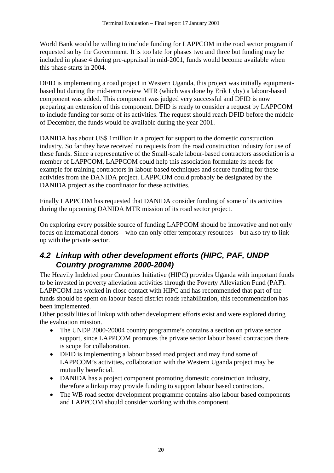<span id="page-22-0"></span>World Bank would be willing to include funding for LAPPCOM in the road sector program if requested so by the Government. It is too late for phases two and three but funding may be included in phase 4 during pre-appraisal in mid-2001, funds would become available when this phase starts in 2004.

DFID is implementing a road project in Western Uganda, this project was initially equipmentbased but during the mid-term review MTR (which was done by Erik Lyby) a labour-based component was added. This component was judged very successful and DFID is now preparing an extension of this component. DFID is ready to consider a request by LAPPCOM to include funding for some of its activities. The request should reach DFID before the middle of December, the funds would be available during the year 2001.

DANIDA has about US\$ 1million in a project for support to the domestic construction industry. So far they have received no requests from the road construction industry for use of these funds. Since a representative of the Small-scale labour-based contractors association is a member of LAPPCOM, LAPPCOM could help this association formulate its needs for example for training contractors in labour based techniques and secure funding for these activities from the DANIDA project. LAPPCOM could probably be designated by the DANIDA project as the coordinator for these activities.

Finally LAPPCOM has requested that DANIDA consider funding of some of its activities during the upcoming DANIDA MTR mission of its road sector project.

On exploring every possible source of funding LAPPCOM should be innovative and not only focus on international donors – who can only offer temporary resources – but also try to link up with the private sector.

### *4.2 Linkup with other development efforts (HIPC, PAF, UNDP Country programme 2000-2004)*

The Heavily Indebted poor Countries Initiative (HIPC) provides Uganda with important funds to be invested in poverty alleviation activities through the Poverty Alleviation Fund (PAF). LAPPCOM has worked in close contact with HIPC and has recommended that part of the funds should be spent on labour based district roads rehabilitation, this recommendation has been implemented.

Other possibilities of linkup with other development efforts exist and were explored during the evaluation mission.

- The UNDP 2000-20004 country programme's contains a section on private sector support, since LAPPCOM promotes the private sector labour based contractors there is scope for collaboration.
- DFID is implementing a labour based road project and may fund some of LAPPCOM's activities, collaboration with the Western Uganda project may be mutually beneficial.
- DANIDA has a project component promoting domestic construction industry, therefore a linkup may provide funding to support labour based contractors.
- The WB road sector development programme contains also labour based components and LAPPCOM should consider working with this component.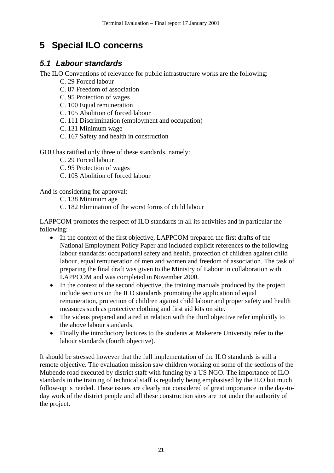# <span id="page-23-0"></span>**5 Special ILO concerns**

### *5.1 Labour standards*

The ILO Conventions of relevance for public infrastructure works are the following:

- C. 29 Forced labour
- C. 87 Freedom of association
- C. 95 Protection of wages
- C. 100 Equal remuneration
- C. 105 Abolition of forced labour
- C. 111 Discrimination (employment and occupation)
- C. 131 Minimum wage
- C. 167 Safety and health in construction

GOU has ratified only three of these standards, namely:

C. 29 Forced labour

C. 95 Protection of wages

C. 105 Abolition of forced labour

And is considering for approval:

- C. 138 Minimum age
- C. 182 Elimination of the worst forms of child labour

LAPPCOM promotes the respect of ILO standards in all its activities and in particular the following:

- In the context of the first objective, LAPPCOM prepared the first drafts of the National Employment Policy Paper and included explicit references to the following labour standards: occupational safety and health, protection of children against child labour, equal remuneration of men and women and freedom of association. The task of preparing the final draft was given to the Ministry of Labour in collaboration with LAPPCOM and was completed in November 2000.
- In the context of the second objective, the training manuals produced by the project include sections on the ILO standards promoting the application of equal remuneration, protection of children against child labour and proper safety and health measures such as protective clothing and first aid kits on site.
- The videos prepared and aired in relation with the third objective refer implicitly to the above labour standards.
- Finally the introductory lectures to the students at Makerere University refer to the labour standards (fourth objective).

It should be stressed however that the full implementation of the ILO standards is still a remote objective. The evaluation mission saw children working on some of the sections of the Mubende road executed by district staff with funding by a US NGO. The importance of ILO standards in the training of technical staff is regularly being emphasised by the ILO but much follow-up is needed. These issues are clearly not considered of great importance in the day-today work of the district people and all these construction sites are not under the authority of the project.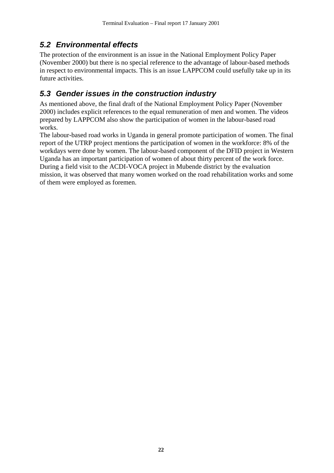### <span id="page-24-0"></span>*5.2 Environmental effects*

The protection of the environment is an issue in the National Employment Policy Paper (November 2000) but there is no special reference to the advantage of labour-based methods in respect to environmental impacts. This is an issue LAPPCOM could usefully take up in its future activities.

### *5.3 Gender issues in the construction industry*

As mentioned above, the final draft of the National Employment Policy Paper (November 2000) includes explicit references to the equal remuneration of men and women. The videos prepared by LAPPCOM also show the participation of women in the labour-based road works.

The labour-based road works in Uganda in general promote participation of women. The final report of the UTRP project mentions the participation of women in the workforce: 8% of the workdays were done by women. The labour-based component of the DFID project in Western Uganda has an important participation of women of about thirty percent of the work force. During a field visit to the ACDI-VOCA project in Mubende district by the evaluation mission, it was observed that many women worked on the road rehabilitation works and some of them were employed as foremen.